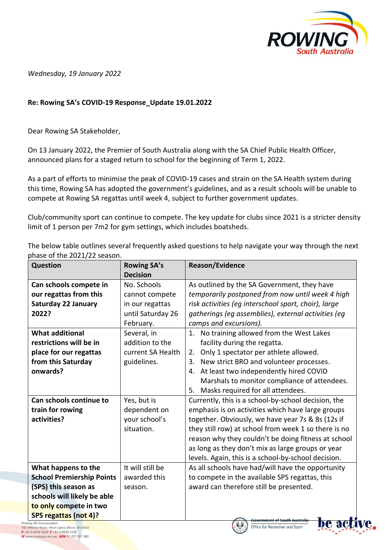

*Wednesday, 19 January 2022*

## **Re: Rowing SA's COVID-19 Response\_Update 19.01.2022**

Dear Rowing SA Stakeholder,

On 13 January 2022, the Premier of South Australia along with the SA Chief Public Health Officer, announced plans for a staged return to school for the beginning of Term 1, 2022.

As a part of efforts to minimise the peak of COVID-19 cases and strain on the SA Health system during this time, Rowing SA has adopted the government's guidelines, and as a result schools will be unable to compete at Rowing SA regattas until week 4, subject to further government updates.

Club/community sport can continue to compete. The key update for clubs since 2021 is a stricter density limit of 1 person per 7m2 for gym settings, which includes boatsheds.

The below table outlines several frequently asked questions to help navigate your way through the next phase of the 2021/22 season.

| <b>Question</b>                  | <b>Rowing SA's</b> | <b>Reason/Evidence</b>                               |
|----------------------------------|--------------------|------------------------------------------------------|
|                                  | <b>Decision</b>    |                                                      |
| Can schools compete in           | No. Schools        | As outlined by the SA Government, they have          |
| our regattas from this           | cannot compete     | temporarily postponed from now until week 4 high     |
| <b>Saturday 22 January</b>       | in our regattas    | risk activities (eg interschool sport, choir), large |
| 2022?                            | until Saturday 26  | gatherings (eg assemblies), external activities (eg  |
|                                  | February.          | camps and excursions).                               |
| <b>What additional</b>           | Several, in        | 1.<br>No training allowed from the West Lakes        |
| restrictions will be in          | addition to the    | facility during the regatta.                         |
| place for our regattas           | current SA Health  | Only 1 spectator per athlete allowed.<br>2.          |
| from this Saturday               | guidelines.        | New strict BRO and volunteer processes.<br>3.        |
| onwards?                         |                    | At least two independently hired COVID<br>4.         |
|                                  |                    | Marshals to monitor compliance of attendees.         |
|                                  |                    | Masks required for all attendees.<br>5.              |
| Can schools continue to          | Yes, but is        | Currently, this is a school-by-school decision, the  |
| train for rowing                 | dependent on       | emphasis is on activities which have large groups    |
| activities?                      | your school's      | together. Obviously, we have year 7s & 8s (12s if    |
|                                  | situation.         | they still row) at school from week 1 so there is no |
|                                  |                    | reason why they couldn't be doing fitness at school  |
|                                  |                    | as long as they don't mix as large groups or year    |
|                                  |                    | levels. Again, this is a school-by-school decision.  |
| What happens to the              | It will still be   | As all schools have had/will have the opportunity    |
| <b>School Premiership Points</b> | awarded this       | to compete in the available SPS regattas, this       |
| (SPS) this season as             | season.            | award can therefore still be presented.              |
| schools will likely be able      |                    |                                                      |
| to only compete in two           |                    |                                                      |
| <b>SPS regattas (not 4)?</b>     |                    | <b>Government of South Australia</b>                 |



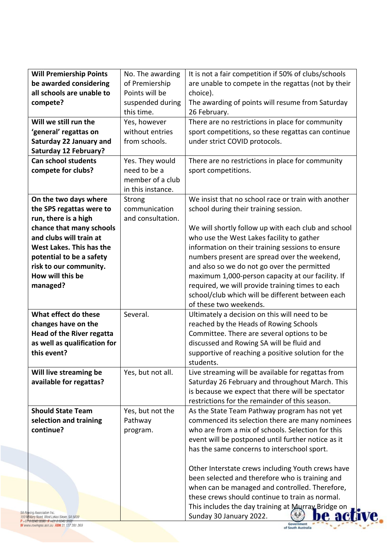| <b>Will Premiership Points</b>    |                   |                                                                               |
|-----------------------------------|-------------------|-------------------------------------------------------------------------------|
|                                   | No. The awarding  | It is not a fair competition if 50% of clubs/schools                          |
| be awarded considering            | of Premiership    | are unable to compete in the regattas (not by their                           |
| all schools are unable to         | Points will be    | choice).                                                                      |
| compete?                          | suspended during  | The awarding of points will resume from Saturday                              |
|                                   | this time.        | 26 February.                                                                  |
| Will we still run the             | Yes, however      | There are no restrictions in place for community                              |
| 'general' regattas on             | without entries   | sport competitions, so these regattas can continue                            |
| <b>Saturday 22 January and</b>    | from schools.     | under strict COVID protocols.                                                 |
| <b>Saturday 12 February?</b>      |                   |                                                                               |
| <b>Can school students</b>        | Yes. They would   | There are no restrictions in place for community                              |
| compete for clubs?                | need to be a      | sport competitions.                                                           |
|                                   | member of a club  |                                                                               |
|                                   | in this instance. |                                                                               |
| On the two days where             | Strong            | We insist that no school race or train with another                           |
| the SPS regattas were to          | communication     | school during their training session.                                         |
| run, there is a high              | and consultation. |                                                                               |
| chance that many schools          |                   | We will shortly follow up with each club and school                           |
| and clubs will train at           |                   | who use the West Lakes facility to gather                                     |
| West Lakes. This has the          |                   | information on their training sessions to ensure                              |
| potential to be a safety          |                   | numbers present are spread over the weekend,                                  |
| risk to our community.            |                   | and also so we do not go over the permitted                                   |
| How will this be                  |                   | maximum 1,000-person capacity at our facility. If                             |
| managed?                          |                   | required, we will provide training times to each                              |
|                                   |                   | school/club which will be different between each                              |
|                                   |                   | of these two weekends.                                                        |
| What effect do these              | Several.          | Ultimately a decision on this will need to be                                 |
| changes have on the               |                   | reached by the Heads of Rowing Schools                                        |
| <b>Head of the River regatta</b>  |                   | Committee. There are several options to be                                    |
| as well as qualification for      |                   | discussed and Rowing SA will be fluid and                                     |
| this event?                       |                   | supportive of reaching a positive solution for the                            |
|                                   |                   | students.                                                                     |
| Will live streaming be            | Yes, but not all. | Live streaming will be available for regattas from                            |
| available for regattas?           |                   | Saturday 26 February and throughout March. This                               |
|                                   |                   | is because we expect that there will be spectator                             |
|                                   |                   | restrictions for the remainder of this season.                                |
| <b>Should State Team</b>          | Yes, but not the  | As the State Team Pathway program has not yet                                 |
| selection and training            | Pathway           | commenced its selection there are many nominees                               |
| continue?                         | program.          | who are from a mix of schools. Selection for this                             |
|                                   |                   | event will be postponed until further notice as it                            |
|                                   |                   | has the same concerns to interschool sport.                                   |
|                                   |                   |                                                                               |
|                                   |                   | Other Interstate crews including Youth crews have                             |
|                                   |                   |                                                                               |
|                                   |                   | been selected and therefore who is training and                               |
|                                   |                   | when can be managed and controlled. Therefore,                                |
|                                   |                   | these crews should continue to train as normal.                               |
| <b>SA Rawing Association Inc.</b> |                   | This includes the day training at Murray Bridge on<br>Sunday 30 January 2022. |